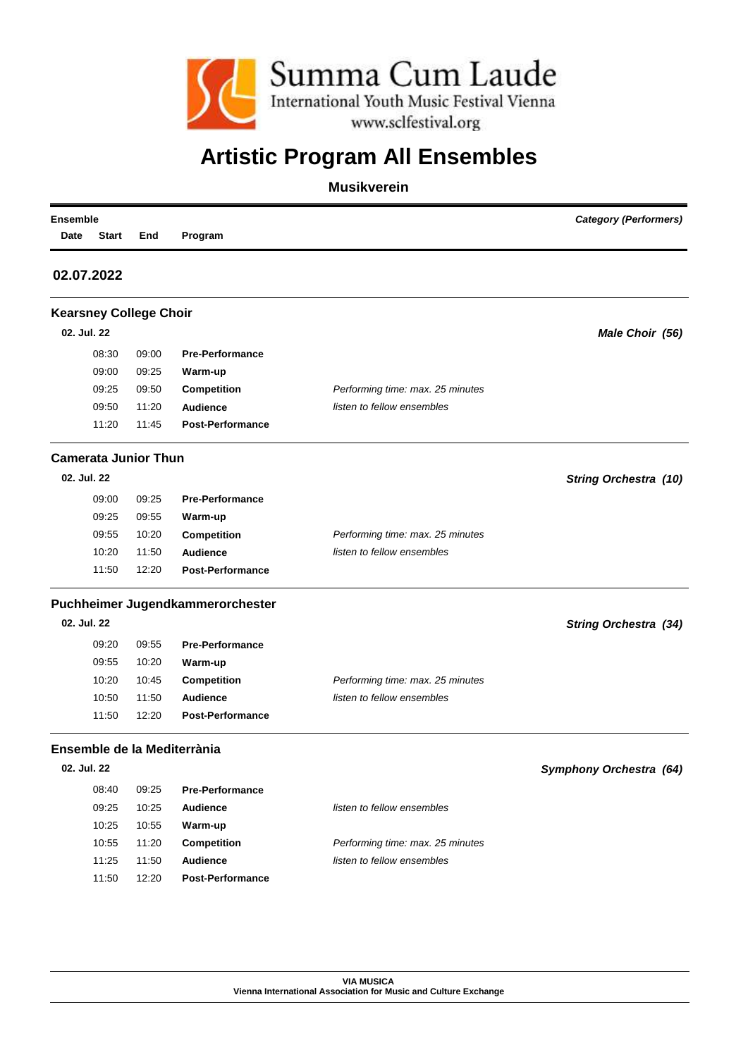

## **Artistic Program All Ensembles**

### **Musikverein**

|                                  |                                                                                              |                                                                                                             |                                           | Date                                                                                                                                        |
|----------------------------------|----------------------------------------------------------------------------------------------|-------------------------------------------------------------------------------------------------------------|-------------------------------------------|---------------------------------------------------------------------------------------------------------------------------------------------|
|                                  |                                                                                              |                                                                                                             |                                           | 02.07.2022                                                                                                                                  |
|                                  |                                                                                              |                                                                                                             | <b>Kearsney College Choir</b>             |                                                                                                                                             |
|                                  |                                                                                              |                                                                                                             |                                           | 02. Jul. 22                                                                                                                                 |
|                                  | <b>Pre-Performance</b>                                                                       | 09:00                                                                                                       | 08:30                                     |                                                                                                                                             |
|                                  | Warm-up                                                                                      | 09:25                                                                                                       | 09:00                                     |                                                                                                                                             |
| Performing time: max. 25 minutes | Competition                                                                                  | 09:50                                                                                                       | 09:25                                     |                                                                                                                                             |
| listen to fellow ensembles       | <b>Audience</b>                                                                              | 11:20                                                                                                       | 09:50                                     |                                                                                                                                             |
|                                  | <b>Post-Performance</b>                                                                      | 11:45                                                                                                       | 11:20                                     |                                                                                                                                             |
|                                  |                                                                                              |                                                                                                             |                                           |                                                                                                                                             |
|                                  |                                                                                              |                                                                                                             |                                           | 02. Jul. 22                                                                                                                                 |
|                                  | <b>Pre-Performance</b>                                                                       |                                                                                                             |                                           |                                                                                                                                             |
|                                  |                                                                                              | 09:55                                                                                                       | 09:25                                     |                                                                                                                                             |
| Performing time: max. 25 minutes |                                                                                              | 10:20                                                                                                       | 09:55                                     |                                                                                                                                             |
|                                  | Audience                                                                                     | 11:50                                                                                                       | 10:20                                     |                                                                                                                                             |
|                                  | <b>Post-Performance</b>                                                                      | 12:20                                                                                                       | 11:50                                     |                                                                                                                                             |
|                                  |                                                                                              |                                                                                                             |                                           |                                                                                                                                             |
|                                  |                                                                                              |                                                                                                             |                                           | 02. Jul. 22                                                                                                                                 |
|                                  |                                                                                              |                                                                                                             |                                           |                                                                                                                                             |
|                                  |                                                                                              |                                                                                                             |                                           |                                                                                                                                             |
|                                  |                                                                                              |                                                                                                             |                                           |                                                                                                                                             |
|                                  |                                                                                              |                                                                                                             |                                           |                                                                                                                                             |
|                                  | <b>Post-Performance</b>                                                                      | 12:20                                                                                                       | 11:50                                     |                                                                                                                                             |
|                                  |                                                                                              |                                                                                                             |                                           |                                                                                                                                             |
|                                  |                                                                                              |                                                                                                             |                                           | 02. Jul. 22                                                                                                                                 |
|                                  | <b>Pre-Performance</b>                                                                       | 09:25                                                                                                       | 08:40                                     |                                                                                                                                             |
| listen to fellow ensembles       | <b>Audience</b>                                                                              | 10:25                                                                                                       | 09:25                                     |                                                                                                                                             |
|                                  | Warm-up                                                                                      | 10:55                                                                                                       | 10:25                                     |                                                                                                                                             |
| Performing time: max. 25 minutes | Competition                                                                                  | 11:20                                                                                                       | 10:55                                     |                                                                                                                                             |
| listen to fellow ensembles       | Audience                                                                                     | 11:50                                                                                                       | 11:25                                     |                                                                                                                                             |
|                                  | <b>Post-Performance</b>                                                                      | 12:20                                                                                                       | 11:50                                     |                                                                                                                                             |
|                                  | listen to fellow ensembles<br>Performing time: max. 25 minutes<br>listen to fellow ensembles | Warm-up<br><b>Competition</b><br><b>Pre-Performance</b><br>Warm-up<br><b>Competition</b><br><b>Audience</b> | 09:25<br>09:55<br>10:20<br>10:45<br>11:50 | <b>Camerata Junior Thun</b><br>09:00<br>Puchheimer Jugendkammerorchester<br>09:20<br>09:55<br>10:20<br>10:50<br>Ensemble de la Mediterrània |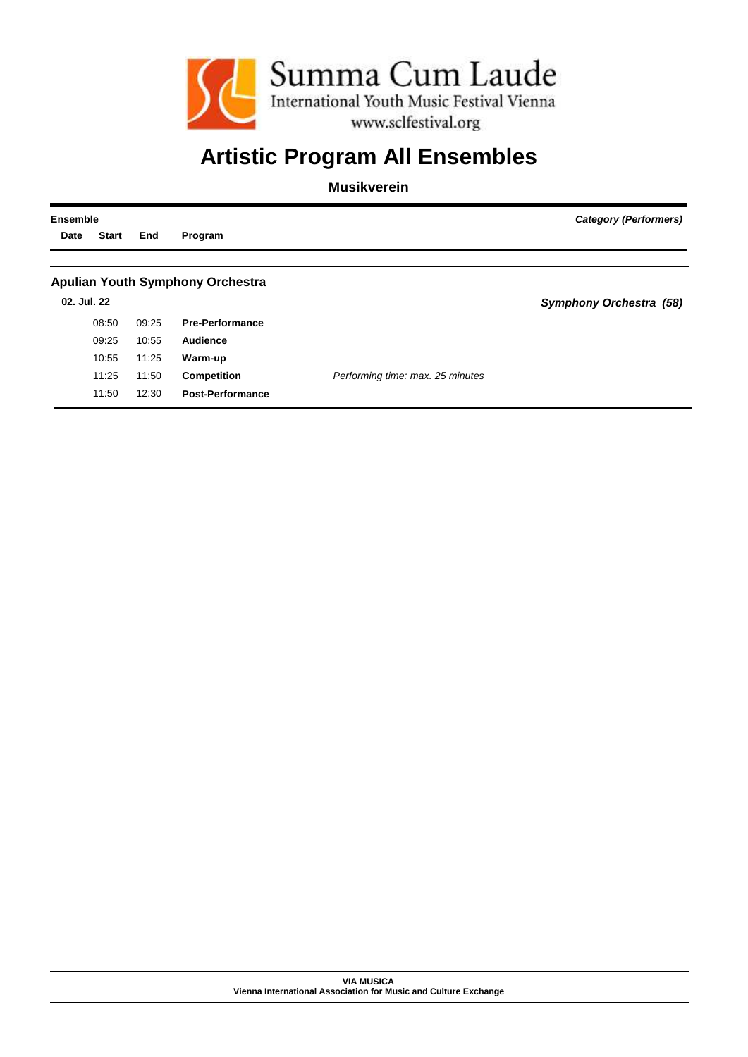

# **Artistic Program All Ensembles**

**Musikverein**

| <b>Ensemble</b> |              |       | Category (Performers)                   |                                  |                         |
|-----------------|--------------|-------|-----------------------------------------|----------------------------------|-------------------------|
| Date            | <b>Start</b> | End   | Program                                 |                                  |                         |
|                 |              |       |                                         |                                  |                         |
|                 |              |       | <b>Apulian Youth Symphony Orchestra</b> |                                  |                         |
| 02. Jul. 22     |              |       |                                         |                                  | Symphony Orchestra (58) |
|                 | 08:50        | 09:25 | <b>Pre-Performance</b>                  |                                  |                         |
|                 | 09:25        | 10:55 | Audience                                |                                  |                         |
|                 | 10:55        | 11:25 | Warm-up                                 |                                  |                         |
|                 | 11:25        | 11:50 | <b>Competition</b>                      | Performing time: max. 25 minutes |                         |
|                 | 11:50        | 12:30 | <b>Post-Performance</b>                 |                                  |                         |